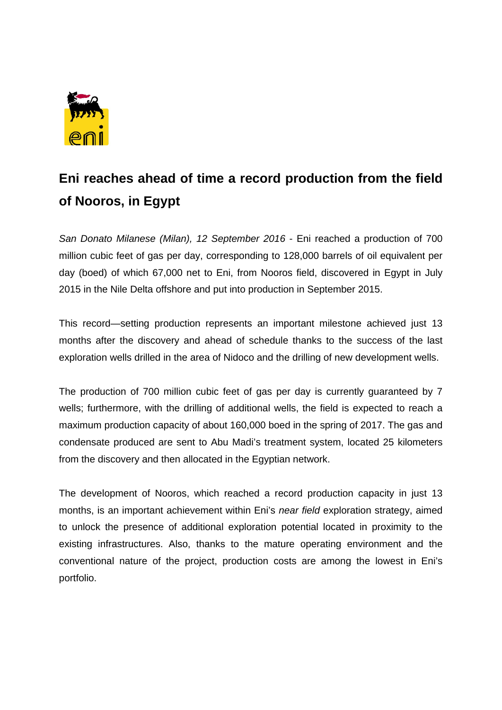

## **Eni reaches ahead of time a record production from the field of Nooros, in Egypt**

*San Donato Milanese (Milan), 12 September 2016* - Eni reached a production of 700 million cubic feet of gas per day, corresponding to 128,000 barrels of oil equivalent per day (boed) of which 67,000 net to Eni, from Nooros field, discovered in Egypt in July 2015 in the Nile Delta offshore and put into production in September 2015.

This record—setting production represents an important milestone achieved just 13 months after the discovery and ahead of schedule thanks to the success of the last exploration wells drilled in the area of Nidoco and the drilling of new development wells.

The production of 700 million cubic feet of gas per day is currently guaranteed by 7 wells; furthermore, with the drilling of additional wells, the field is expected to reach a maximum production capacity of about 160,000 boed in the spring of 2017. The gas and condensate produced are sent to Abu Madi's treatment system, located 25 kilometers from the discovery and then allocated in the Egyptian network.

The development of Nooros, which reached a record production capacity in just 13 months, is an important achievement within Eni's *near field* exploration strategy, aimed to unlock the presence of additional exploration potential located in proximity to the existing infrastructures. Also, thanks to the mature operating environment and the conventional nature of the project, production costs are among the lowest in Eni's portfolio.